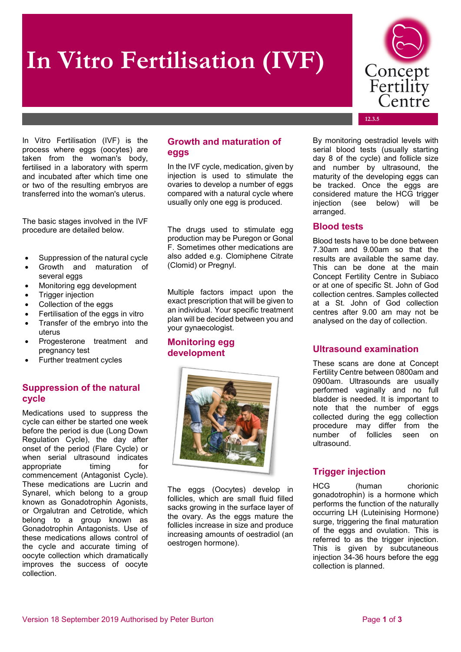# **In Vitro Fertilisation (IVF)**



**12.3.5**

In Vitro Fertilisation (IVF) is the process where eggs (oocytes) are taken from the woman's body, fertilised in a laboratory with sperm and incubated after which time one or two of the resulting embryos are transferred into the woman's uterus.

The basic stages involved in the IVF procedure are detailed below.

- Suppression of the natural cycle
- Growth and maturation of several eggs
- Monitoring egg development
- Trigger injection
- Collection of the eggs
- Fertilisation of the eggs in vitro
- Transfer of the embryo into the uterus
- Progesterone treatment and pregnancy test
- Further treatment cycles

## **Suppression of the natural cycle**

Medications used to suppress the cycle can either be started one week before the period is due (Long Down Regulation Cycle), the day after onset of the period (Flare Cycle) or when serial ultrasound indicates appropriate timing for commencement (Antagonist Cycle). These medications are Lucrin and Synarel, which belong to a group known as Gonadotrophin Agonists, or Orgalutran and Cetrotide, which belong to a group known as Gonadotrophin Antagonists. Use of these medications allows control of the cycle and accurate timing of oocyte collection which dramatically improves the success of oocyte collection.

# **Growth and maturation of eggs**

In the IVF cycle, medication, given by injection is used to stimulate the ovaries to develop a number of eggs compared with a natural cycle where usually only one egg is produced.

The drugs used to stimulate egg production may be Puregon or Gonal F. Sometimes other medications are also added e.g. Clomiphene Citrate (Clomid) or Pregnyl.

Multiple factors impact upon the exact prescription that will be given to an individual. Your specific treatment plan will be decided between you and your gynaecologist.

## **Monitoring egg development**



The eggs (Oocytes) develop in follicles, which are small fluid filled sacks growing in the surface layer of the ovary. As the eggs mature the follicles increase in size and produce increasing amounts of oestradiol (an oestrogen hormone).

By monitoring oestradiol levels with serial blood tests (usually starting day 8 of the cycle) and follicle size and number by ultrasound, the maturity of the developing eggs can be tracked. Once the eggs are considered mature the HCG trigger injection (see below) will be arranged.

## **Blood tests**

Blood tests have to be done between 7.30am and 9.00am so that the results are available the same day. This can be done at the main Concept Fertility Centre in Subiaco or at one of specific St. John of God collection centres. Samples collected at a St. John of God collection centres after 9.00 am may not be analysed on the day of collection.

# **Ultrasound examination**

These scans are done at Concept Fertility Centre between 0800am and 0900am. Ultrasounds are usually performed vaginally and no full bladder is needed. It is important to note that the number of eggs collected during the egg collection procedure may differ from the number of follicles seen on ultrasound.

# **Trigger injection**

HCG (human chorionic gonadotrophin) is a hormone which performs the function of the naturally occurring LH (Luteinising Hormone) surge, triggering the final maturation of the eggs and ovulation. This is referred to as the trigger injection. This is given by subcutaneous injection 34-36 hours before the egg collection is planned.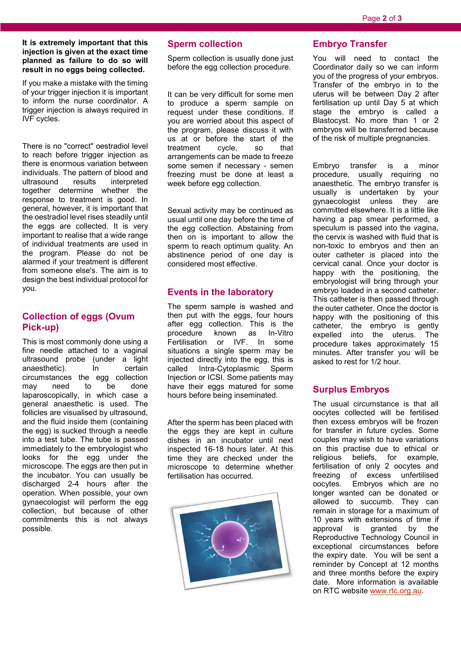#### **It is extremely important that this injection is given at the exact time planned as failure to do so will result in no eggs being collected.**

If you make a mistake with the timing of your trigger injection it is important to inform the nurse coordinator. A trigger injection is always required in IVF cycles.

There is no "correct" oestradiol level to reach before trigger injection as there is enormous variation between individuals. The pattern of blood and<br>ultrasound results interpreted interpreted together determine whether the response to treatment is good. In general, however, it is important that the oestradiol level rises steadily until the eggs are collected. It is very important to realise that a wide range of individual treatments are used in the program. Please do not be alarmed if your treatment is different from someone else's. The aim is to design the best individual protocol for you.

# **Collection of eggs (Ovum Pick-up)**

This is most commonly done using a fine needle attached to a vaginal ultrasound probe (under a light<br>anaesthetic). In certain anaesthetic). In circumstances the egg collection may need to be done laparoscopically, in which case a general anaesthetic is used. The follicles are visualised by ultrasound, and the fluid inside them (containing the egg) is sucked through a needle into a test tube. The tube is passed immediately to the embryologist who looks for the egg under the microscope. The eggs are then put in the incubator. You can usually be discharged 2-4 hours after the operation. When possible, your own gynaecologist will perform the egg collection, but because of other commitments this is not always possible.

## **Sperm collection**

Sperm collection is usually done just before the egg collection procedure.

It can be very difficult for some men to produce a sperm sample on request under these conditions. If you are worried about this aspect of the program, please discuss it with us at or before the start of the<br>treatment cycle, so that treatment arrangements can be made to freeze some semen if necessary - semen freezing must be done at least a week before egg collection.

Sexual activity may be continued as usual until one day before the time of the egg collection. Abstaining from then on is important to allow the sperm to reach optimum quality. An abstinence period of one day is considered most effective.

## **Events in the laboratory**

The sperm sample is washed and then put with the eggs, four hours after egg collection. This is the<br>procedure known as In-Vitro known as Fertilisation or IVF. In some situations a single sperm may be injected directly into the egg, this is called Intra-Cytoplasmic Sperm Injection or ICSI. Some patients may have their eggs matured for some hours before being inseminated.

After the sperm has been placed with the eggs they are kept in culture dishes in an incubator until next inspected 16-18 hours later. At this time they are checked under the microscope to determine whether fertilisation has occurred.



#### **Embryo Transfer**

You will need to contact the Coordinator daily so we can inform you of the progress of your embryos. Transfer of the embryo in to the uterus will be between Day 2 after fertilisation up until Day 5 at which stage the embryo is called a Blastocyst. No more than 1 or 2 embryos will be transferred because of the risk of multiple pregnancies.

Embryo transfer is a minor procedure, usually requiring no anaesthetic. The embryo transfer is usually is undertaken by your gynaecologist unless they are committed elsewhere. It is a little like having a pap smear performed, a speculum is passed into the vagina, the cervix is washed with fluid that is non-toxic to embryos and then an outer catheter is placed into the cervical canal. Once your doctor is happy with the positioning, the embryologist will bring through your embryo loaded in a second catheter. This catheter is then passed through the outer catheter. Once the doctor is happy with the positioning of this catheter, the embryo is gently expelled into the uterus. The procedure takes approximately 15 minutes. After transfer you will be asked to rest for 1/2 hour.

# **Surplus Embryos**

The usual circumstance is that all oocytes collected will be fertilised then excess embryos will be frozen for transfer in future cycles. Some couples may wish to have variations on this practise due to ethical or<br>religious beliefs, for example, beliefs, for fertilisation of only 2 oocytes and<br>freezing of excess unfertilised freezing of excess unfertilised oocytes. Embryos which are no longer wanted can be donated or allowed to succumb. They can remain in storage for a maximum of 10 years with extensions of time if approval is granted by the Reproductive Technology Council in exceptional circumstances before the expiry date. You will be sent a reminder by Concept at 12 months and three months before the expiry date. More information is available on RTC website [www.rtc.org.au.](http://www.rtc.org.au/)